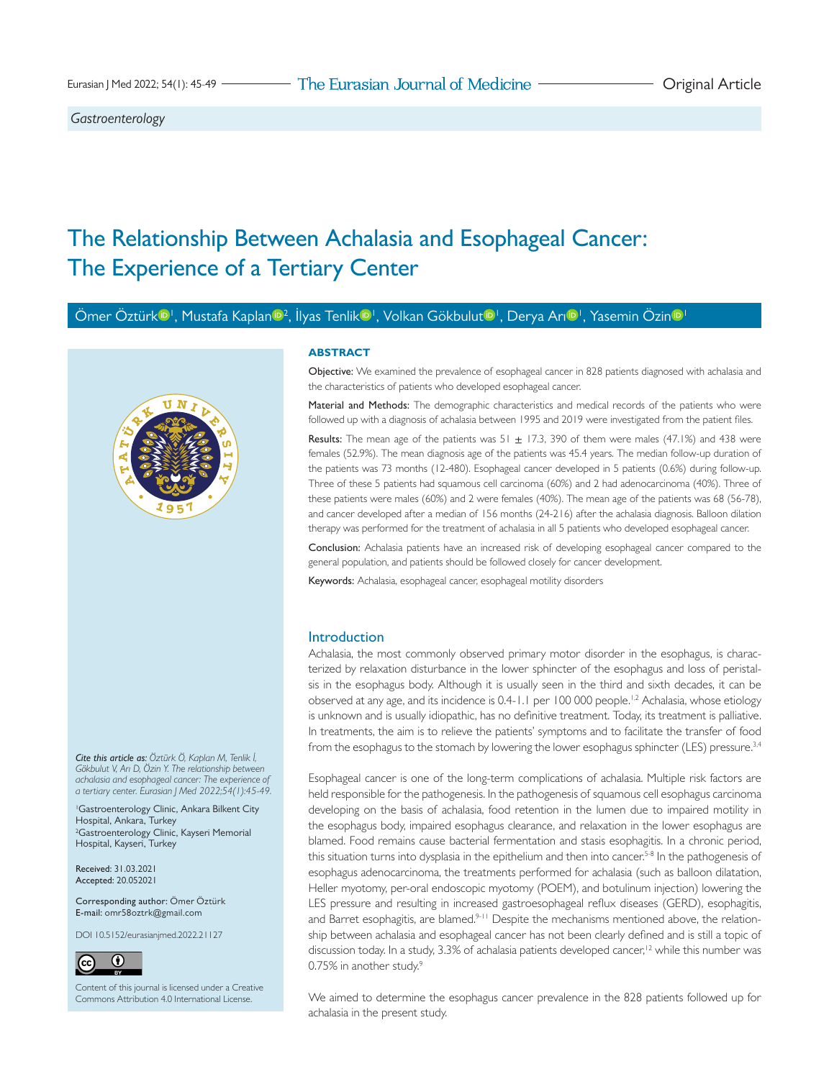*Gastroenterology*

# The Relationship Between Achalasia and Esophageal Cancer: The Experience of a Tertiary Center

Ömer Öztür[k](http://orcid.org/0000-0001-9546-2918) <sup>in I</sup>, Mustafa Kaplan <sup>in [2](http://orcid.org/0000-0002-6959-675X)</sup>, İlyas Tenlik <sup>in I</sup>, Volkan Gökbulu[t](http://orcid.org/0000-0002-7906-2479) <sup>in I</sup>, Derya Ar[ı](http://orcid.org/0000-0001-8024-781X) <sup>in I</sup>, Yasemin Özin <sup>in I</sup>



## **ABSTRACT**

Objective: We examined the prevalence of esophageal cancer in 828 patients diagnosed with achalasia and the characteristics of patients who developed esophageal cancer.

Material and Methods: The demographic characteristics and medical records of the patients who were followed up with a diagnosis of achalasia between 1995 and 2019 were investigated from the patient files.

**Results:** The mean age of the patients was  $51 + 17.3$ , 390 of them were males (47.1%) and 438 were females (52.9%). The mean diagnosis age of the patients was 45.4 years. The median follow-up duration of the patients was 73 months (12-480). Esophageal cancer developed in 5 patients (0.6%) during follow-up. Three of these 5 patients had squamous cell carcinoma (60%) and 2 had adenocarcinoma (40%). Three of these patients were males (60%) and 2 were females (40%). The mean age of the patients was 68 (56-78), and cancer developed after a median of 156 months (24-216) after the achalasia diagnosis. Balloon dilation therapy was performed for the treatment of achalasia in all 5 patients who developed esophageal cancer.

Conclusion: Achalasia patients have an increased risk of developing esophageal cancer compared to the general population, and patients should be followed closely for cancer development.

Keywords: Achalasia, esophageal cancer, esophageal motility disorders

## Introduction

Achalasia, the most commonly observed primary motor disorder in the esophagus, is characterized by relaxation disturbance in the lower sphincter of the esophagus and loss of peristalsis in the esophagus body. Although it is usually seen in the third and sixth decades, it can be observed at any age, and its incidence is 0.4-[1](#page-3-0).1 per 100 000 people.<sup>1,2</sup> Achalasia, whose etiology is unknown and is usually idiopathic, has no definitive treatment. Today, its treatment is palliative. In treatments, the aim is to relieve the patients' symptoms and to facilitate the transfer of food from the esophagus to the stomach by lowering the lower esophagus sphincter (LES) pressure.<sup>[3](#page-3-2)[,4](#page-3-3)</sup>

Esophageal cancer is one of the long-term complications of achalasia. Multiple risk factors are held responsible for the pathogenesis. In the pathogenesis of squamous cell esophagus carcinoma developing on the basis of achalasia, food retention in the lumen due to impaired motility in the esophagus body, impaired esophagus clearance, and relaxation in the lower esophagus are blamed. Food remains cause bacterial fermentation and stasis esophagitis. In a chronic period, this situation turns into dysplasia in the epithelium and then into cancer.<sup>5-8</sup> In the pathogenesis of esophagus adenocarcinoma, the treatments performed for achalasia (such as balloon dilatation, Heller myotomy, per-oral endoscopic myotomy (POEM), and botulinum injection) lowering the LES pressure and resulting in increased gastroesophageal reflux diseases (GERD), esophagitis, and Barret esophagitis, are blamed.<sup>[9](#page-3-6)[-11](#page-4-0)</sup> Despite the mechanisms mentioned above, the relationship between achalasia and esophageal cancer has not been clearly defined and is still a topic of discussion today. In a study, 3.3% of achalasia patients developed cancer,<sup>12</sup> while this number was 0.75% in another study[.9](#page-3-6)

We aimed to determine the esophagus cancer prevalence in the 828 patients followed up for achalasia in the present study.

*Cite this article as: Öztürk Ö, Kaplan M, Tenlik İ, Gökbulut V, Arı D, Özin Y. The relationship between achalasia and esophageal cancer: The experience of a tertiary center. Eurasian J Med 2022;54(1):45-49.*

1 Gastroenterology Clinic, Ankara Bilkent City Hospital, Ankara, Turkey 2 Gastroenterology Clinic, Kayseri Memorial Hospital, Kayseri, Turkey

Received: 31.03.2021 Accepted: 20.052021

Corresponding author: Ömer Öztürk E-mail: [omr58oztrk@gmail.com](mailto:omr58oztrk@gmail.com)

DOI 10.5152/eurasianjmed.2022.21127



Content of this journal is licensed under a [Creative](http://creativecommons.org/licenses/by/4.0/)  [Commons Attribution 4.0 International License.](http://creativecommons.org/licenses/by/4.0/)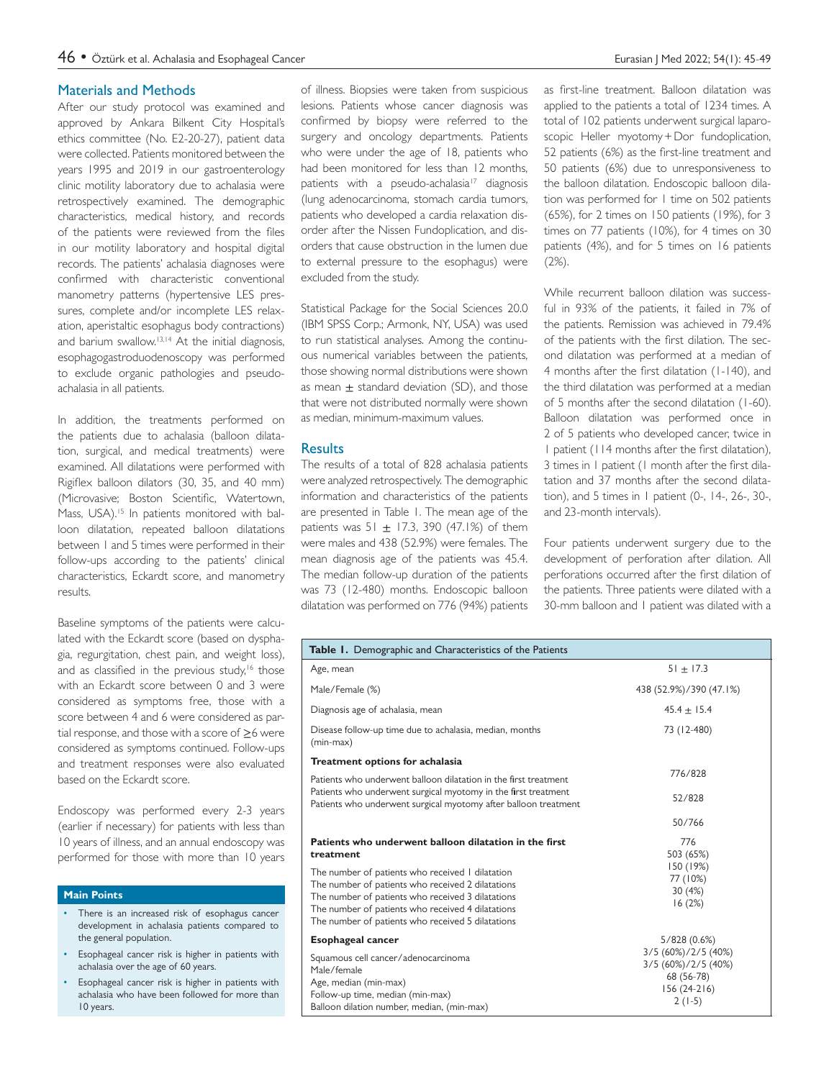## Materials and Methods

After our study protocol was examined and approved by Ankara Bilkent City Hospital's ethics committee (No. E2-20-27), patient data were collected. Patients monitored between the years 1995 and 2019 in our gastroenterology clinic motility laboratory due to achalasia were retrospectively examined. The demographic characteristics, medical history, and records of the patients were reviewed from the files in our motility laboratory and hospital digital records. The patients' achalasia diagnoses were confirmed with characteristic conventional manometry patterns (hypertensive LES pressures, complete and/or incomplete LES relaxation, aperistaltic esophagus body contractions) and barium swallow.<sup>[13](#page-4-2)[,14](#page-4-3)</sup> At the initial diagnosis, esophagogastroduodenoscopy was performed to exclude organic pathologies and pseudoachalasia in all patients.

In addition, the treatments performed on the patients due to achalasia (balloon dilatation, surgical, and medical treatments) were examined. All dilatations were performed with Rigiflex balloon dilators (30, 35, and 40 mm) (Microvasive; Boston Scientific, Watertown, Mass, USA).<sup>15</sup> In patients monitored with balloon dilatation, repeated balloon dilatations between 1 and 5 times were performed in their follow-ups according to the patients' clinical characteristics, Eckardt score, and manometry results.

Baseline symptoms of the patients were calculated with the Eckardt score (based on dysphagia, regurgitation, chest pain, and weight loss), and as classified in the previous study,<sup>16</sup> those with an Eckardt score between 0 and 3 were considered as symptoms free, those with a score between 4 and 6 were considered as partial response, and those with a score of  $\geq$ 6 were considered as symptoms continued. Follow-ups and treatment responses were also evaluated based on the Eckardt score.

Endoscopy was performed every 2-3 years (earlier if necessary) for patients with less than 10 years of illness, and an annual endoscopy was performed for those with more than 10 years

## **Main Points**

- There is an increased risk of esophagus cancer development in achalasia patients compared to the general population.
- Esophageal cancer risk is higher in patients with achalasia over the age of 60 years.
- Esophageal cancer risk is higher in patients with achalasia who have been followed for more than 10 years.

of illness. Biopsies were taken from suspicious lesions. Patients whose cancer diagnosis was confirmed by biopsy were referred to the surgery and oncology departments. Patients who were under the age of 18, patients who had been monitored for less than 12 months, patients with a pseudo-achalasia<sup>17</sup> diagnosis (lung adenocarcinoma, stomach cardia tumors, patients who developed a cardia relaxation disorder after the Nissen Fundoplication, and disorders that cause obstruction in the lumen due to external pressure to the esophagus) were excluded from the study.

Statistical Package for the Social Sciences 20.0 (IBM SPSS Corp.; Armonk, NY, USA) was used to run statistical analyses. Among the continuous numerical variables between the patients, those showing normal distributions were shown as mean  $\pm$  standard deviation (SD), and those that were not distributed normally were shown as median, minimum-maximum values.

### **Results**

The results of a total of 828 achalasia patients were analyzed retrospectively. The demographic information and characteristics of the patients are presented in [Table 1](#page-2-0). The mean age of the patients was  $51 + 17.3$ , 390 (47.1%) of them were males and 438 (52.9%) were females. The mean diagnosis age of the patients was 45.4. The median follow-up duration of the patients was 73 (12-480) months. Endoscopic balloon dilatation was performed on 776 (94%) patients

as first-line treatment. Balloon dilatation was applied to the patients a total of 1234 times. A total of 102 patients underwent surgical laparoscopic Heller myotomy + Dor fundoplication, 52 patients (6%) as the first-line treatment and 50 patients (6%) due to unresponsiveness to the balloon dilatation. Endoscopic balloon dilation was performed for 1 time on 502 patients (65%), for 2 times on 150 patients (19%), for 3 times on 77 patients (10%), for 4 times on 30 patients (4%), and for 5 times on 16 patients (2%).

While recurrent balloon dilation was successful in 93% of the patients, it failed in 7% of the patients. Remission was achieved in 79.4% of the patients with the first dilation. The second dilatation was performed at a median of 4 months after the first dilatation (1-140), and the third dilatation was performed at a median of 5 months after the second dilatation (1-60). Balloon dilatation was performed once in 2 of 5 patients who developed cancer, twice in 1 patient (114 months after the first dilatation), 3 times in 1 patient (1 month after the first dilatation and 37 months after the second dilatation), and 5 times in 1 patient (0-, 14-, 26-, 30-, and 23-month intervals).

Four patients underwent surgery due to the development of perforation after dilation. All perforations occurred after the first dilation of the patients. Three patients were dilated with a 30-mm balloon and 1 patient was dilated with a

| Table 1. Demographic and Characteristics of the Patients                                                                                                                                                                                                                                                                                    |                                                                                       |
|---------------------------------------------------------------------------------------------------------------------------------------------------------------------------------------------------------------------------------------------------------------------------------------------------------------------------------------------|---------------------------------------------------------------------------------------|
| Age, mean                                                                                                                                                                                                                                                                                                                                   | $51 \pm 17.3$                                                                         |
| Male/Female (%)                                                                                                                                                                                                                                                                                                                             | 438 (52.9%)/390 (47.1%)                                                               |
| Diagnosis age of achalasia, mean                                                                                                                                                                                                                                                                                                            | $45.4 + 15.4$                                                                         |
| Disease follow-up time due to achalasia, median, months<br>$(min-max)$                                                                                                                                                                                                                                                                      | 73 (12-480)                                                                           |
| Treatment options for achalasia                                                                                                                                                                                                                                                                                                             |                                                                                       |
| Patients who underwent balloon dilatation in the first treatment                                                                                                                                                                                                                                                                            | 776/828                                                                               |
| Patients who underwent surgical myotomy in the first treatment<br>Patients who underwent surgical myotomy after balloon treatment                                                                                                                                                                                                           | 52/828                                                                                |
|                                                                                                                                                                                                                                                                                                                                             | 50/766                                                                                |
| Patients who underwent balloon dilatation in the first<br>treatment<br>The number of patients who received I dilatation<br>The number of patients who received 2 dilatations<br>The number of patients who received 3 dilatations<br>The number of patients who received 4 dilatations<br>The number of patients who received 5 dilatations | 776<br>503 (65%)<br>150 (19%)<br>77 (10%)<br>30(4%)<br>16(2%)                         |
| <b>Esophageal cancer</b>                                                                                                                                                                                                                                                                                                                    | 5/828(0.6%)                                                                           |
| Squamous cell cancer/adenocarcinoma<br>Male/female<br>Age, median (min-max)<br>Follow-up time, median (min-max)<br>Balloon dilation number, median, (min-max)                                                                                                                                                                               | 3/5 (60%)/2/5 (40%)<br>3/5 (60%)/2/5 (40%)<br>68 (56-78)<br>$156(24-216)$<br>$2(1-5)$ |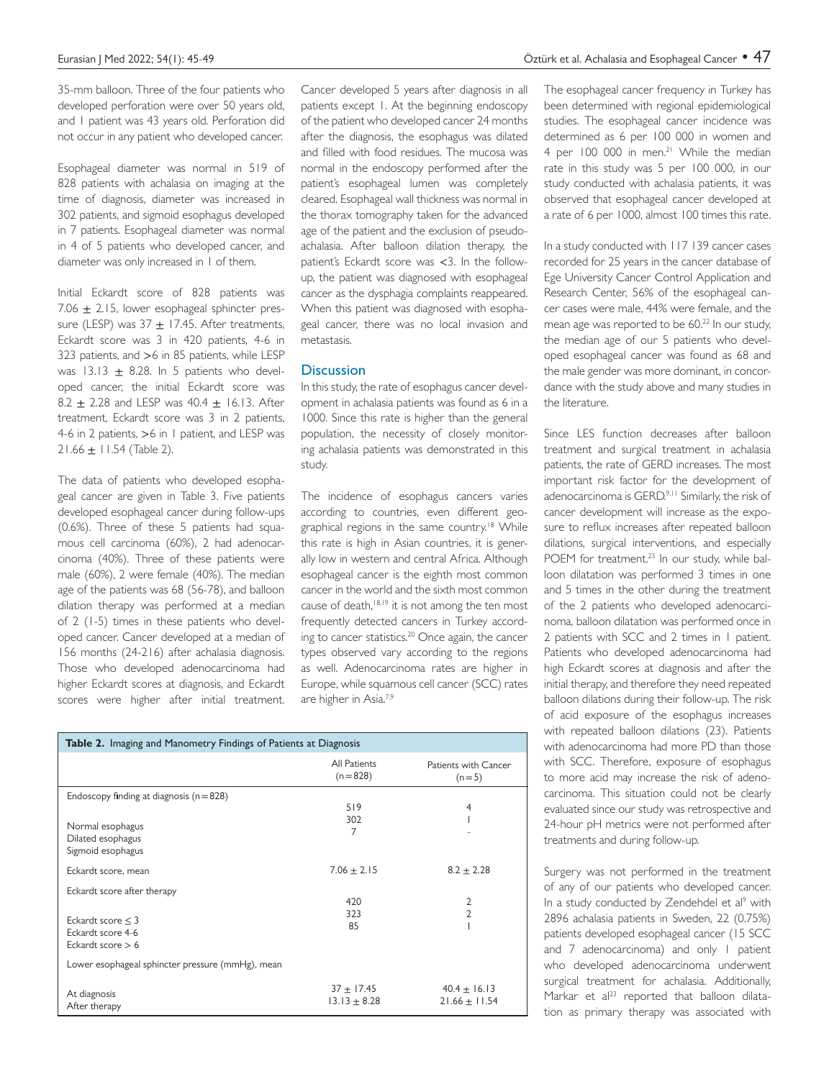<span id="page-2-0"></span>35-mm balloon. Three of the four patients who developed perforation were over 50 years old, and 1 patient was 43 years old. Perforation did not occur in any patient who developed cancer.

Esophageal diameter was normal in 519 of 828 patients with achalasia on imaging at the time of diagnosis, diameter was increased in 302 patients, and sigmoid esophagus developed in 7 patients. Esophageal diameter was normal in 4 of 5 patients who developed cancer, and diameter was only increased in 1 of them.

Initial Eckardt score of 828 patients was 7.06  $\pm$  2.15, lower esophageal sphincter pressure (LESP) was  $37 + 17.45$ . After treatments, Eckardt score was 3 in 420 patients, 4-6 in 323 patients, and >6 in 85 patients, while LESP was  $13.13 \pm 8.28$ . In 5 patients who developed cancer, the initial Eckardt score was 8.2  $\pm$  2.28 and LESP was 40.4  $\pm$  16.13. After treatment, Eckardt score was 3 in 2 patients, 4-6 in 2 patients, >6 in 1 patient, and LESP was  $21.66 \pm 11.54$  ([Table 2](#page-3-7)).

The data of patients who developed esophageal cancer are given in [Table 3](#page-3-7). Five patients developed esophageal cancer during follow-ups (0.6%). Three of these 5 patients had squamous cell carcinoma (60%), 2 had adenocarcinoma (40%). Three of these patients were male (60%), 2 were female (40%). The median age of the patients was 68 (56-78), and balloon dilation therapy was performed at a median of 2 (1-5) times in these patients who developed cancer. Cancer developed at a median of 156 months (24-216) after achalasia diagnosis. Those who developed adenocarcinoma had higher Eckardt scores at diagnosis, and Eckardt scores were higher after initial treatment.

Cancer developed 5 years after diagnosis in all patients except 1. At the beginning endoscopy of the patient who developed cancer 24 months after the diagnosis, the esophagus was dilated and filled with food residues. The mucosa was normal in the endoscopy performed after the patient's esophageal lumen was completely cleared. Esophageal wall thickness was normal in the thorax tomography taken for the advanced age of the patient and the exclusion of pseudoachalasia. After balloon dilation therapy, the patient's Eckardt score was <3. In the followup, the patient was diagnosed with esophageal cancer as the dysphagia complaints reappeared. When this patient was diagnosed with esophageal cancer, there was no local invasion and metastasis.

#### **Discussion**

In this study, the rate of esophagus cancer development in achalasia patients was found as 6 in a 1000. Since this rate is higher than the general population, the necessity of closely monitoring achalasia patients was demonstrated in this study.

The incidence of esophagus cancers varies according to countries, even different geographical regions in the same country.<sup>18</sup> While this rate is high in Asian countries, it is generally low in western and central Africa. Although esophageal cancer is the eighth most common cancer in the world and the sixth most common cause of death, $18,19$  it is not among the ten most frequently detected cancers in Turkey according to cancer statistics.[20](#page-4-9) Once again, the cancer types observed vary according to the regions as well. Adenocarcinoma rates are higher in Europe, while squamous cell cancer (SCC) rates are higher in Asia[.7](#page-3-8),[9](#page-3-6)

| <b>Table 2.</b> Imaging and Manometry Findings of Patients at Diagnosis                                |                                    |                                       |  |  |  |  |
|--------------------------------------------------------------------------------------------------------|------------------------------------|---------------------------------------|--|--|--|--|
|                                                                                                        | All Patients<br>$(n = 828)$        | Patients with Cancer<br>$(n=5)$       |  |  |  |  |
| Endoscopy finding at diagnosis $(n=828)$<br>Normal esophagus<br>Dilated esophagus<br>Sigmoid esophagus | 519<br>302<br>7                    | 4                                     |  |  |  |  |
| Eckardt score, mean                                                                                    | $7.06 \pm 2.15$                    | $8.2 \pm 2.28$                        |  |  |  |  |
| Eckardt score after therapy<br>Eckardt score $<$ 3<br>Eckardt score 4-6<br>Eckardt score $> 6$         | 420<br>323<br>85                   | 2<br>2                                |  |  |  |  |
| Lower esophageal sphincter pressure (mmHg), mean                                                       |                                    |                                       |  |  |  |  |
| At diagnosis<br>After therapy                                                                          | $37 \pm 17.45$<br>$13.13 \pm 8.28$ | $40.4 \pm 16.13$<br>$21.66 \pm 11.54$ |  |  |  |  |

The esophageal cancer frequency in Turkey has been determined with regional epidemiological studies. The esophageal cancer incidence was determined as 6 per 100 000 in women and 4 per 100 000 in men.<sup>21</sup> While the median rate in this study was 5 per 100 000, in our study conducted with achalasia patients, it was observed that esophageal cancer developed at a rate of 6 per 1000, almost 100 times this rate.

In a study conducted with 117 139 cancer cases recorded for 25 years in the cancer database of Ege University Cancer Control Application and Research Center, 56% of the esophageal cancer cases were male, 44% were female, and the mean age was reported to be 60.<sup>22</sup> In our study, the median age of our 5 patients who developed esophageal cancer was found as 68 and the male gender was more dominant, in concordance with the study above and many studies in the literature.

Since LES function decreases after balloon treatment and surgical treatment in achalasia patients, the rate of GERD increases. The most important risk factor for the development of adenocarcinoma is GERD.<sup>[9](#page-3-6),11</sup> Similarly, the risk of cancer development will increase as the exposure to reflux increases after repeated balloon dilations, surgical interventions, and especially POEM for treatment.<sup>23</sup> In our study, while balloon dilatation was performed 3 times in one and 5 times in the other during the treatment of the 2 patients who developed adenocarcinoma, balloon dilatation was performed once in 2 patients with SCC and 2 times in 1 patient. Patients who developed adenocarcinoma had high Eckardt scores at diagnosis and after the initial therapy, and therefore they need repeated balloon dilations during their follow-up. The risk of acid exposure of the esophagus increases with repeated balloon dilations (23). Patients with adenocarcinoma had more PD than those with SCC. Therefore, exposure of esophagus to more acid may increase the risk of adenocarcinoma. This situation could not be clearly evaluated since our study was retrospective and 24-hour pH metrics were not performed after treatments and during follow-up.

Surgery was not performed in the treatment of any of our patients who developed cancer. In a study conducted by Zendehdel et al<sup>9</sup> with 2896 achalasia patients in Sweden, 22 (0.75%) patients developed esophageal cancer (15 SCC and 7 adenocarcinoma) and only 1 patient who developed adenocarcinoma underwent surgical treatment for achalasia. Additionally, Markar et al<sup>23</sup> reported that balloon dilatation as primary therapy was associated with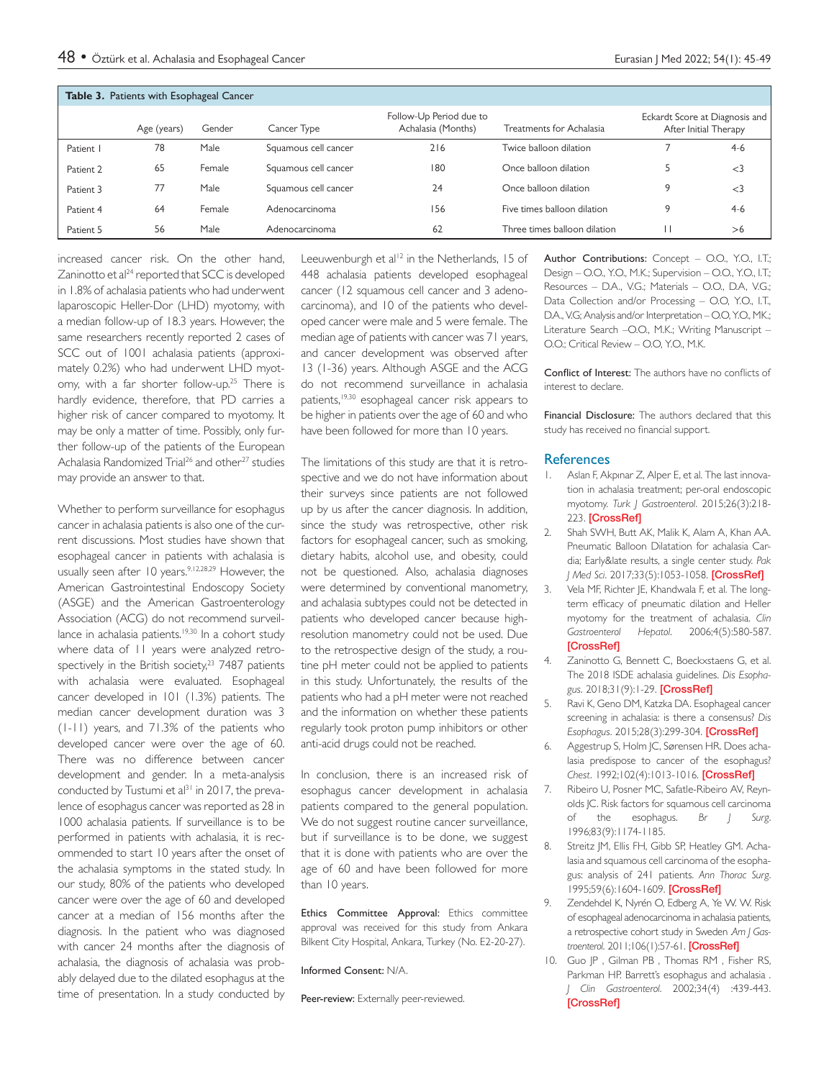<span id="page-3-7"></span>

| Table 3. Patients with Esophageal Cancer |             |        |                      |                                               |                              |                                                         |       |  |  |
|------------------------------------------|-------------|--------|----------------------|-----------------------------------------------|------------------------------|---------------------------------------------------------|-------|--|--|
|                                          | Age (years) | Gender | Cancer Type          | Follow-Up Period due to<br>Achalasia (Months) | Treatments for Achalasia     | Eckardt Score at Diagnosis and<br>After Initial Therapy |       |  |  |
| Patient I                                | 78          | Male   | Squamous cell cancer | 216                                           | Twice balloon dilation       |                                                         | $4-6$ |  |  |
| Patient 2                                | 65          | Female | Squamous cell cancer | 180                                           | Once balloon dilation        |                                                         | $<$ 3 |  |  |
| Patient 3                                | 77          | Male   | Squamous cell cancer | 24                                            | Once balloon dilation        | 9                                                       | $<$ 3 |  |  |
| Patient 4                                | 64          | Female | Adenocarcinoma       | 156                                           | Five times balloon dilation  | 9                                                       | $4-6$ |  |  |
| Patient 5                                | 56          | Male   | Adenocarcinoma       | 62                                            | Three times balloon dilation |                                                         | >6    |  |  |

increased cancer risk. On the other hand, Zaninotto et al<sup>[24](#page-4-13)</sup> reported that SCC is developed in 1.8% of achalasia patients who had underwent laparoscopic Heller-Dor (LHD) myotomy, with a median follow-up of 18.3 years. However, the same researchers recently reported 2 cases of SCC out of 1001 achalasia patients (approximately 0.2%) who had underwent LHD myotomy, with a far shorter follow-up.<sup>25</sup> There is hardly evidence, therefore, that PD carries a higher risk of cancer compared to myotomy. It may be only a matter of time. Possibly, only further follow-up of the patients of the European Achalasia Randomized Trial<sup>26</sup> and other<sup>[27](#page-4-16)</sup> studies may provide an answer to that.

Whether to perform surveillance for esophagus cancer in achalasia patients is also one of the current discussions. Most studies have shown that esophageal cancer in patients with achalasia is usually seen after 10 years.<sup>[9](#page-3-6)[,12](#page-4-1)[,28,](#page-4-17)29</sup> However, the American Gastrointestinal Endoscopy Society (ASGE) and the American Gastroenterology Association (ACG) do not recommend surveillance in achalasia patients.<sup>19,30</sup> In a cohort study where data of 11 years were analyzed retrospectively in the British society, $23$  7487 patients with achalasia were evaluated. Esophageal cancer developed in 101 (1.3%) patients. The median cancer development duration was 3 (1-11) years, and 71.3% of the patients who developed cancer were over the age of 60. There was no difference between cancer development and gender. In a meta-analysis conducted by Tustumi et al<sup>31</sup> in 2017, the prevalence of esophagus cancer was reported as 28 in 1000 achalasia patients. If surveillance is to be performed in patients with achalasia, it is recommended to start 10 years after the onset of the achalasia symptoms in the stated study. In our study, 80% of the patients who developed cancer were over the age of 60 and developed cancer at a median of 156 months after the diagnosis. In the patient who was diagnosed with cancer 24 months after the diagnosis of achalasia, the diagnosis of achalasia was probably delayed due to the dilated esophagus at the time of presentation. In a study conducted by

Leeuwenburgh et al<sup>12</sup> in the Netherlands, 15 of 448 achalasia patients developed esophageal cancer (12 squamous cell cancer and 3 adenocarcinoma), and 10 of the patients who developed cancer were male and 5 were female. The median age of patients with cancer was 71 years, and cancer development was observed after 13 (1-36) years. Although ASGE and the ACG do not recommend surveillance in achalasia patients,<sup>19,30</sup> esophageal cancer risk appears to be higher in patients over the age of 60 and who have been followed for more than 10 years.

The limitations of this study are that it is retrospective and we do not have information about their surveys since patients are not followed up by us after the cancer diagnosis. In addition, since the study was retrospective, other risk factors for esophageal cancer, such as smoking, dietary habits, alcohol use, and obesity, could not be questioned. Also, achalasia diagnoses were determined by conventional manometry, and achalasia subtypes could not be detected in patients who developed cancer because highresolution manometry could not be used. Due to the retrospective design of the study, a routine pH meter could not be applied to patients in this study. Unfortunately, the results of the patients who had a pH meter were not reached and the information on whether these patients regularly took proton pump inhibitors or other anti-acid drugs could not be reached.

In conclusion, there is an increased risk of esophagus cancer development in achalasia patients compared to the general population. We do not suggest routine cancer surveillance, but if surveillance is to be done, we suggest that it is done with patients who are over the age of 60 and have been followed for more than 10 years.

Ethics Committee Approval: Ethics committee approval was received for this study from Ankara Bilkent City Hospital, Ankara, Turkey (No. E2-20-27).

Informed Consent: N/A.

Peer-review: Externally peer-reviewed.

Author Contributions: Concept - O.O., Y.O., I.T.; Design – O.O., Y.O., M.K.; Supervision – O.O., Y.O., I.T.; Resources – D.A., V.G.; Materials – O.O., D.A, V.G.; Data Collection and/or Processing – O.O, Y.O., I.T., D.A., V.G; Analysis and/or Interpretation – O.O, Y.O., MK.; Literature Search –O.O., M.K.; Writing Manuscript – O.O.; Critical Review – O.O, Y.O., M.K.

Conflict of Interest: The authors have no conflicts of interest to declare.

Financial Disclosure: The authors declared that this study has received no financial support.

### **References**

- <span id="page-3-0"></span>1. Aslan F, Akpınar Z, Alper E, et al. The last innovation in achalasia treatment; per-oral endoscopic myotomy. *Turk J Gastroenterol*. 2015;26(3):218- 223. [\[CrossRef\]](https://doi.org/10.5152/tjg.2015.0150)
- <span id="page-3-1"></span>2. Shah SWH, Butt AK, Malik K, Alam A, Khan AA. Pneumatic Balloon Dilatation for achalasia Cardia; Early&late results, a single center study. *Pak J Med Sci*. 2017;33(5):1053-1058. [\[CrossRef\]](https://doi.org/10.12669/pjms.335.13685)
- <span id="page-3-2"></span>3. Vela MF, Richter JE, Khandwala F, et al. The longterm efficacy of pneumatic dilation and Heller myotomy for the treatment of achalasia. *Clin Gastroenterol Hepatol*. 2006;4(5):580-587. **[\[CrossRef\]](https://doi.org/10.1016/s1542-3565(05)00986-9)**
- <span id="page-3-3"></span>4. Zaninotto G, Bennett C, Boeckxstaens G, et al. The 2018 ISDE achalasia guidelines. *Dis Esophagus*. 2018;31(9):1-29. [\[CrossRef\]](https://doi.org/10.1093/dote/doy071)
- <span id="page-3-4"></span>5. Ravi K, Geno DM, Katzka DA. Esophageal cancer screening in achalasia: is there a consensus? *Dis Esophagus*. 2015;28(3):299-304. [\[CrossRef\]](https://doi.org/10.1111/dote.12196)
- 6. Aggestrup S, Holm JC, Sørensen HR. Does achalasia predispose to cancer of the esophagus? *Chest*. 1992;102(4):1013-1016. [\[CrossRef\]](https://doi.org/10.1378/chest.102.4.1013)
- <span id="page-3-8"></span>7. Ribeiro U, Posner MC, Safatle-Ribeiro AV, Reynolds JC. Risk factors for squamous cell carcinoma of the esophagus. *Br J Surg*. 1996;83(9):1174-1185.
- <span id="page-3-5"></span>8. Streitz JM, Ellis FH, Gibb SP, Heatley GM. Achalasia and squamous cell carcinoma of the esophagus: analysis of 241 patients. *Ann Thorac Surg*. 1995;59(6):1604-1609. [\[CrossRef\]](https://doi.org/10.1016/0003-4975(94)00997-l)
- <span id="page-3-6"></span>9. Zendehdel K, Nyrén O, Edberg A, Ye W. W. Risk of esophageal adenocarcinoma in achalasia patients, a retrospective cohort study in Sweden .*Am J Gastroenterol*. 2011;106(1):57-61. [\[CrossRef\]](https://doi.org/10.1038/ajg.2010.449)
- 10. Guo IP, Gilman PB, Thomas RM, Fisher RS, Parkman HP. Barrett's esophagus and achalasia . *J Clin Gastroenterol*. 2002;34(4) :439-443. [\[CrossRef\]](https://doi.org/10.1097/00004836-200204000-00011)